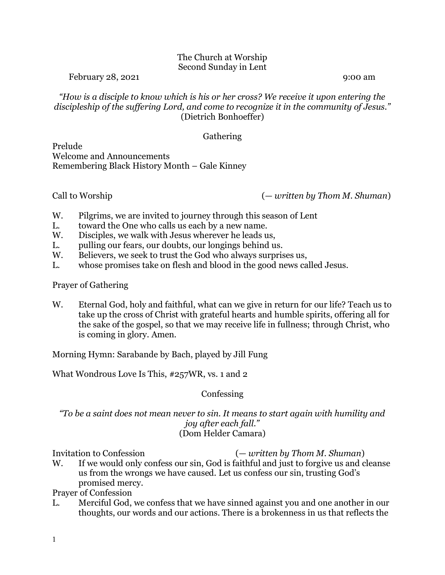## The Church at Worship Second Sunday in Lent

February 28, 2021 9:00 am 9:00 am 9:00 am 9:00 am 9:00 am 9:00 am 9:00 am 9:00 am 9:00 am 9:00 am 9:00 am 9:00 am 9:00 am 9:00 am 9:00 am 9:00 am 9:00 am 9:00 am 9:00 am 9:00 am 9:00 am 9:00 am 9:00 am 9:00 am 9:00 am 9:00

*"How is a disciple to know which is his or her cross? We receive it upon entering the discipleship of the suffering Lord, and come to recognize it in the community of Jesus."* (Dietrich Bonhoeffer)

## Gathering

Prelude Welcome and Announcements Remembering Black History Month – Gale Kinney

Call to Worship (*— written by Thom M. Shuman*)

- W. Pilgrims, we are invited to journey through this season of Lent
- L. toward the One who calls us each by a new name.
- W. Disciples, we walk with Jesus wherever he leads us,
- L. pulling our fears, our doubts, our longings behind us.
- W. Believers, we seek to trust the God who always surprises us,
- L. whose promises take on flesh and blood in the good news called Jesus.

Prayer of Gathering

W. Eternal God, holy and faithful, what can we give in return for our life? Teach us to take up the cross of Christ with grateful hearts and humble spirits, offering all for the sake of the gospel, so that we may receive life in fullness; through Christ, who is coming in glory. Amen.

Morning Hymn: Sarabande by Bach, played by Jill Fung

What Wondrous Love Is This, #257WR, vs. 1 and 2

## **Confessing**

*"To be a saint does not mean never to sin. It means to start again with humility and joy after each fall."* (Dom Helder Camara)

Invitation to Confession (*— written by Thom M. Shuman*)

W. If we would only confess our sin, God is faithful and just to forgive us and cleanse us from the wrongs we have caused. Let us confess our sin, trusting God's promised mercy.

Prayer of Confession

L. Merciful God, we confess that we have sinned against you and one another in our thoughts, our words and our actions. There is a brokenness in us that reflects the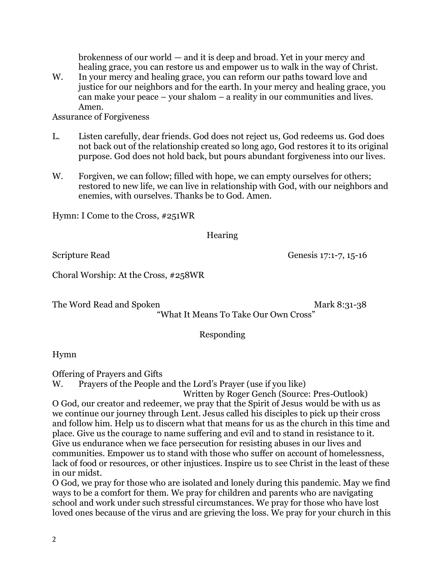brokenness of our world — and it is deep and broad. Yet in your mercy and healing grace, you can restore us and empower us to walk in the way of Christ.

W. In your mercy and healing grace, you can reform our paths toward love and justice for our neighbors and for the earth. In your mercy and healing grace, you can make your peace – your shalom – a reality in our communities and lives. Amen.

Assurance of Forgiveness

- L. Listen carefully, dear friends. God does not reject us, God redeems us. God does not back out of the relationship created so long ago, God restores it to its original purpose. God does not hold back, but pours abundant forgiveness into our lives.
- W. Forgiven, we can follow; filled with hope, we can empty ourselves for others; restored to new life, we can live in relationship with God, with our neighbors and enemies, with ourselves. Thanks be to God. Amen.

Hymn: I Come to the Cross, #251WR

Hearing

Scripture Read Genesis 17:1-7, 15-16

Choral Worship: At the Cross, #258WR

The Word Read and Spoken Mark 8:31-38

"What It Means To Take Our Own Cross"

Responding

Hymn

Offering of Prayers and Gifts

W. Prayers of the People and the Lord's Prayer (use if you like)

Written by Roger Gench (Source: Pres-Outlook) O God, our creator and redeemer, we pray that the Spirit of Jesus would be with us as we continue our journey through Lent. Jesus called his disciples to pick up their cross and follow him. Help us to discern what that means for us as the church in this time and place. Give us the courage to name suffering and evil and to stand in resistance to it. Give us endurance when we face persecution for resisting abuses in our lives and communities. Empower us to stand with those who suffer on account of homelessness, lack of food or resources, or other injustices. Inspire us to see Christ in the least of these in our midst.

O God, we pray for those who are isolated and lonely during this pandemic. May we find ways to be a comfort for them. We pray for children and parents who are navigating school and work under such stressful circumstances. We pray for those who have lost loved ones because of the virus and are grieving the loss. We pray for your church in this